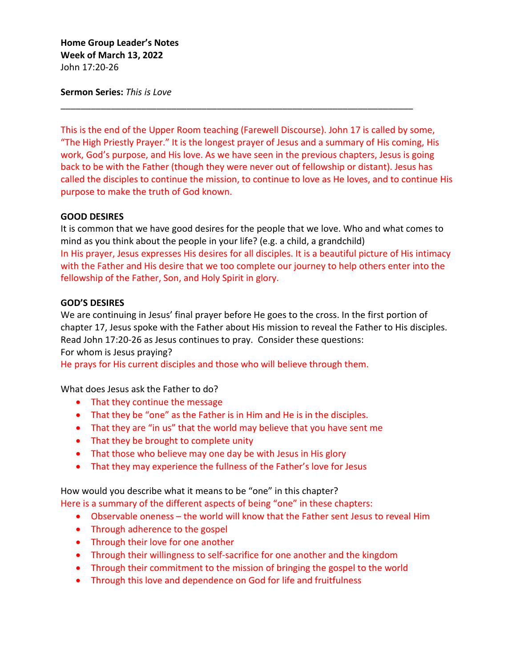## **Home Group Leader's Notes Week of March 13, 2022** John 17:20-26

**Sermon Series:** *This is Love*

This is the end of the Upper Room teaching (Farewell Discourse). John 17 is called by some, "The High Priestly Prayer." It is the longest prayer of Jesus and a summary of His coming, His work, God's purpose, and His love. As we have seen in the previous chapters, Jesus is going back to be with the Father (though they were never out of fellowship or distant). Jesus has called the disciples to continue the mission, to continue to love as He loves, and to continue His purpose to make the truth of God known.

\_\_\_\_\_\_\_\_\_\_\_\_\_\_\_\_\_\_\_\_\_\_\_\_\_\_\_\_\_\_\_\_\_\_\_\_\_\_\_\_\_\_\_\_\_\_\_\_\_\_\_\_\_\_\_\_\_\_\_\_\_\_\_\_\_\_\_\_\_\_

## **GOOD DESIRES**

It is common that we have good desires for the people that we love. Who and what comes to mind as you think about the people in your life? (e.g. a child, a grandchild) In His prayer, Jesus expresses His desires for all disciples. It is a beautiful picture of His intimacy with the Father and His desire that we too complete our journey to help others enter into the fellowship of the Father, Son, and Holy Spirit in glory.

## **GOD'S DESIRES**

We are continuing in Jesus' final prayer before He goes to the cross. In the first portion of chapter 17, Jesus spoke with the Father about His mission to reveal the Father to His disciples. Read John 17:20-26 as Jesus continues to pray. Consider these questions:

For whom is Jesus praying?

He prays for His current disciples and those who will believe through them.

What does Jesus ask the Father to do?

- That they continue the message
- That they be "one" as the Father is in Him and He is in the disciples.
- That they are "in us" that the world may believe that you have sent me
- That they be brought to complete unity
- That those who believe may one day be with Jesus in His glory
- That they may experience the fullness of the Father's love for Jesus

How would you describe what it means to be "one" in this chapter?

- Here is a summary of the different aspects of being "one" in these chapters:
	- Observable oneness the world will know that the Father sent Jesus to reveal Him
	- Through adherence to the gospel
	- Through their love for one another
	- Through their willingness to self-sacrifice for one another and the kingdom
	- Through their commitment to the mission of bringing the gospel to the world
	- Through this love and dependence on God for life and fruitfulness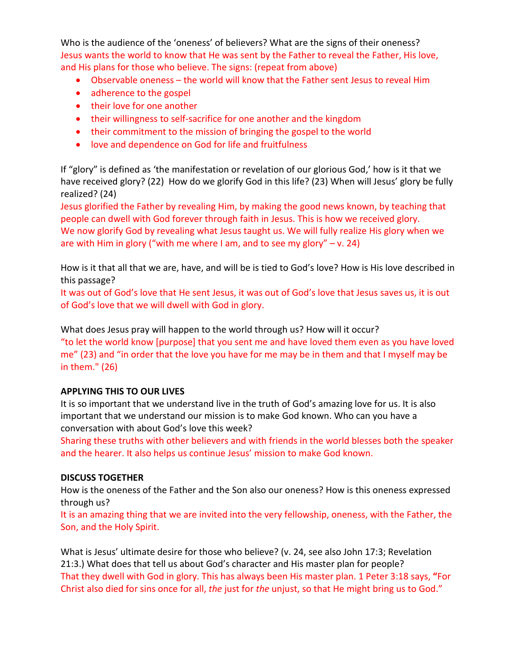Who is the audience of the 'oneness' of believers? What are the signs of their oneness? Jesus wants the world to know that He was sent by the Father to reveal the Father, His love, and His plans for those who believe. The signs: (repeat from above)

- Observable oneness the world will know that the Father sent Jesus to reveal Him
- adherence to the gospel
- their love for one another
- their willingness to self-sacrifice for one another and the kingdom
- their commitment to the mission of bringing the gospel to the world
- love and dependence on God for life and fruitfulness

If "glory" is defined as 'the manifestation or revelation of our glorious God,' how is it that we have received glory? (22) How do we glorify God in this life? (23) When will Jesus' glory be fully realized? (24)

Jesus glorified the Father by revealing Him, by making the good news known, by teaching that people can dwell with God forever through faith in Jesus. This is how we received glory. We now glorify God by revealing what Jesus taught us. We will fully realize His glory when we are with Him in glory ("with me where I am, and to see my glory"  $- v. 24$ )

How is it that all that we are, have, and will be is tied to God's love? How is His love described in this passage?

It was out of God's love that He sent Jesus, it was out of God's love that Jesus saves us, it is out of God's love that we will dwell with God in glory.

What does Jesus pray will happen to the world through us? How will it occur? "to let the world know [purpose] that you sent me and have loved them even as you have loved me" (23) and "in order that the love you have for me may be in them and that I myself may be in them." (26)

# **APPLYING THIS TO OUR LIVES**

It is so important that we understand live in the truth of God's amazing love for us. It is also important that we understand our mission is to make God known. Who can you have a conversation with about God's love this week?

Sharing these truths with other believers and with friends in the world blesses both the speaker and the hearer. It also helps us continue Jesus' mission to make God known.

# **DISCUSS TOGETHER**

How is the oneness of the Father and the Son also our oneness? How is this oneness expressed through us?

It is an amazing thing that we are invited into the very fellowship, oneness, with the Father, the Son, and the Holy Spirit.

What is Jesus' ultimate desire for those who believe? (v. 24, see also John 17:3; Revelation 21:3.) What does that tell us about God's character and His master plan for people? That they dwell with God in glory. This has always been His master plan. 1 Peter 3:18 says, **"**For Christ also died for sins once for all, *the* just for *the* unjust, so that He might bring us to God."